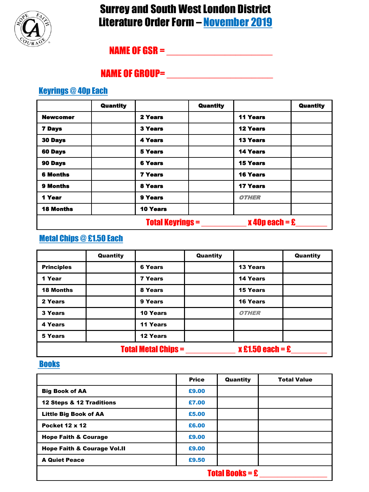

## Surrey and South West London District Literature Order Form – November 2019

## NAME OF GSR = \_\_\_\_\_\_\_\_\_\_\_\_\_\_\_\_\_\_\_\_

### NAME OF GROUP=  $\blacksquare$

#### Keyrings @ 40p Each

|                                             | <b>Quantity</b> |                 | <b>Quantity</b> |                     | <b>Quantity</b> |
|---------------------------------------------|-----------------|-----------------|-----------------|---------------------|-----------------|
| <b>Newcomer</b>                             |                 | 2 Years         |                 | <b>11 Years</b>     |                 |
| <b>7 Days</b>                               |                 | <b>3 Years</b>  |                 | <b>12 Years</b>     |                 |
| <b>30 Days</b>                              |                 | <b>4 Years</b>  |                 | <b>13 Years</b>     |                 |
| <b>60 Days</b>                              |                 | <b>5 Years</b>  |                 | <b>14 Years</b>     |                 |
| 90 Days                                     |                 | <b>6 Years</b>  |                 | <b>15 Years</b>     |                 |
| <b>6 Months</b>                             |                 | <b>7 Years</b>  |                 | <b>16 Years</b>     |                 |
| 9 Months                                    |                 | 8 Years         |                 | <b>17 Years</b>     |                 |
| 1 Year                                      |                 | 9 Years         |                 | <i><b>OTHER</b></i> |                 |
| <b>18 Months</b>                            |                 | <b>10 Years</b> |                 |                     |                 |
| $x$ 40p each = £<br><b>Total Keyrings =</b> |                 |                 |                 |                     |                 |

#### Metal Chips @ £1.50 Each

|                            | Quantity |                 | Quantity |                                      | Quantity |
|----------------------------|----------|-----------------|----------|--------------------------------------|----------|
| <b>Principles</b>          |          | <b>6 Years</b>  |          | <b>13 Years</b>                      |          |
| 1 Year                     |          | <b>7 Years</b>  |          | 14 Years                             |          |
| <b>18 Months</b>           |          | 8 Years         |          | <b>15 Years</b>                      |          |
| 2 Years                    |          | 9 Years         |          | <b>16 Years</b>                      |          |
| 3 Years                    |          | 10 Years        |          | <b>OTHER</b>                         |          |
| 4 Years                    |          | 11 Years        |          |                                      |          |
| 5 Years                    |          | <b>12 Years</b> |          |                                      |          |
| <b>Total Metal Chips =</b> |          |                 |          | $x \, \pounds 1.50$ each = $\pounds$ |          |

#### **Books**

|                                        | <b>Price</b> | Quantity | <b>Total Value</b> |
|----------------------------------------|--------------|----------|--------------------|
| <b>Big Book of AA</b>                  | £9.00        |          |                    |
| 12 Steps & 12 Traditions               | £7.00        |          |                    |
| <b>Little Big Book of AA</b>           | £5.00        |          |                    |
| <b>Pocket 12 x 12</b>                  | £6.00        |          |                    |
| <b>Hope Faith &amp; Courage</b>        | £9.00        |          |                    |
| <b>Hope Faith &amp; Courage Vol.II</b> | £9.00        |          |                    |
| <b>A Quiet Peace</b>                   | £9.50        |          |                    |
| <b>Total Books = <math>E</math></b>    |              |          |                    |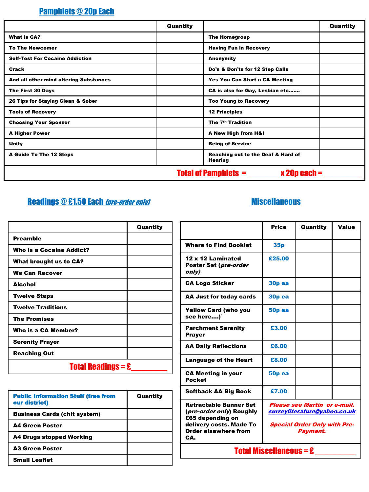### Pamphlets @ 20p Each

|                                                 | Quantity |                                                      | Quantity |
|-------------------------------------------------|----------|------------------------------------------------------|----------|
| <b>What is CA?</b>                              |          | <b>The Homegroup</b>                                 |          |
| <b>To The Newcomer</b>                          |          | <b>Having Fun in Recovery</b>                        |          |
| <b>Self-Test For Cocaine Addiction</b>          |          | Anonymity                                            |          |
| Crack                                           |          | Do's & Don'ts for 12 Step Calls                      |          |
| And all other mind altering Substances          |          | Yes You Can Start a CA Meeting                       |          |
| The First 30 Days                               |          | CA is also for Gay, Lesbian etc                      |          |
| 26 Tips for Staying Clean & Sober               |          | <b>Too Young to Recovery</b>                         |          |
| <b>Tools of Recovery</b>                        |          | <b>12 Principles</b>                                 |          |
| <b>Choosing Your Sponsor</b>                    |          | The 7 <sup>th</sup> Tradition                        |          |
| <b>A Higher Power</b>                           |          | A New High from H&I                                  |          |
| Unity                                           |          | <b>Being of Service</b>                              |          |
| <b>A Guide To The 12 Steps</b>                  |          | Reaching out to the Deaf & Hard of<br><b>Hearing</b> |          |
| <b>Total of Pamphlets =</b><br>$x 20p$ each $=$ |          |                                                      |          |

## Readings @ £1.50 Each (pre-order only)

|                                                       | Quantity |  |
|-------------------------------------------------------|----------|--|
| <b>Preamble</b>                                       |          |  |
| Who is a Cocaine Addict?                              |          |  |
| <b>What brought us to CA?</b>                         |          |  |
| <b>We Can Recover</b>                                 |          |  |
| <b>Alcohol</b>                                        |          |  |
| <b>Twelve Steps</b>                                   |          |  |
| <b>Twelve Traditions</b>                              |          |  |
| <b>The Promises</b>                                   |          |  |
| Who is a CA Member?                                   |          |  |
| <b>Serenity Prayer</b>                                |          |  |
| <b>Reaching Out</b>                                   |          |  |
| <b>Total Readings = <math>\hat{\mathbf{E}}</math></b> |          |  |

| <b>Public Information Stuff (free from</b><br>our district) | Quantity |
|-------------------------------------------------------------|----------|
| <b>Business Cards (chit system)</b>                         |          |
| <b>A4 Green Poster</b>                                      |          |
| A4 Drugs stopped Working                                    |          |
| <b>A3 Green Poster</b>                                      |          |
| <b>Small Leaflet</b>                                        |          |

### **Miscellaneous**

|                                                                                        | <b>Price</b>                                                 | Quantity | Value |  |
|----------------------------------------------------------------------------------------|--------------------------------------------------------------|----------|-------|--|
| <b>Where to Find Booklet</b>                                                           | 35 <sub>p</sub>                                              |          |       |  |
| 12 x 12 Laminated<br>Poster Set ( <i>pre-order</i><br>only)                            | £25.00                                                       |          |       |  |
| <b>CA Logo Sticker</b>                                                                 | 30 <sub>p</sub> ea                                           |          |       |  |
| AA Just for today cards                                                                | 30p ea                                                       |          |       |  |
| <b>Yellow Card (who you</b><br>see here)`                                              | <b>50p ea</b>                                                |          |       |  |
| <b>Parchment Serenity</b><br><b>Prayer</b>                                             | £3.00                                                        |          |       |  |
| <b>AA Daily Reflections</b>                                                            | £6.00                                                        |          |       |  |
| <b>Language of the Heart</b>                                                           | £8.00                                                        |          |       |  |
| <b>CA Meeting in your</b><br><b>Pocket</b>                                             | 50 <sub>p</sub> ea                                           |          |       |  |
| <b>Softback AA Big Book</b>                                                            | £7.00                                                        |          |       |  |
| <b>Retractable Banner Set</b><br>( <i>pre-order only</i> ) Roughly<br>£65 depending on | Please see Martin or e-mail.<br>surreyliterature@yahoo.co.uk |          |       |  |
| delivery costs. Made To<br>Order elsewhere from<br>CA.                                 | <b>Special Order Only with Pre-</b><br>Payment.              |          |       |  |
| <b>Total Miscellaneous = £</b>                                                         |                                                              |          |       |  |